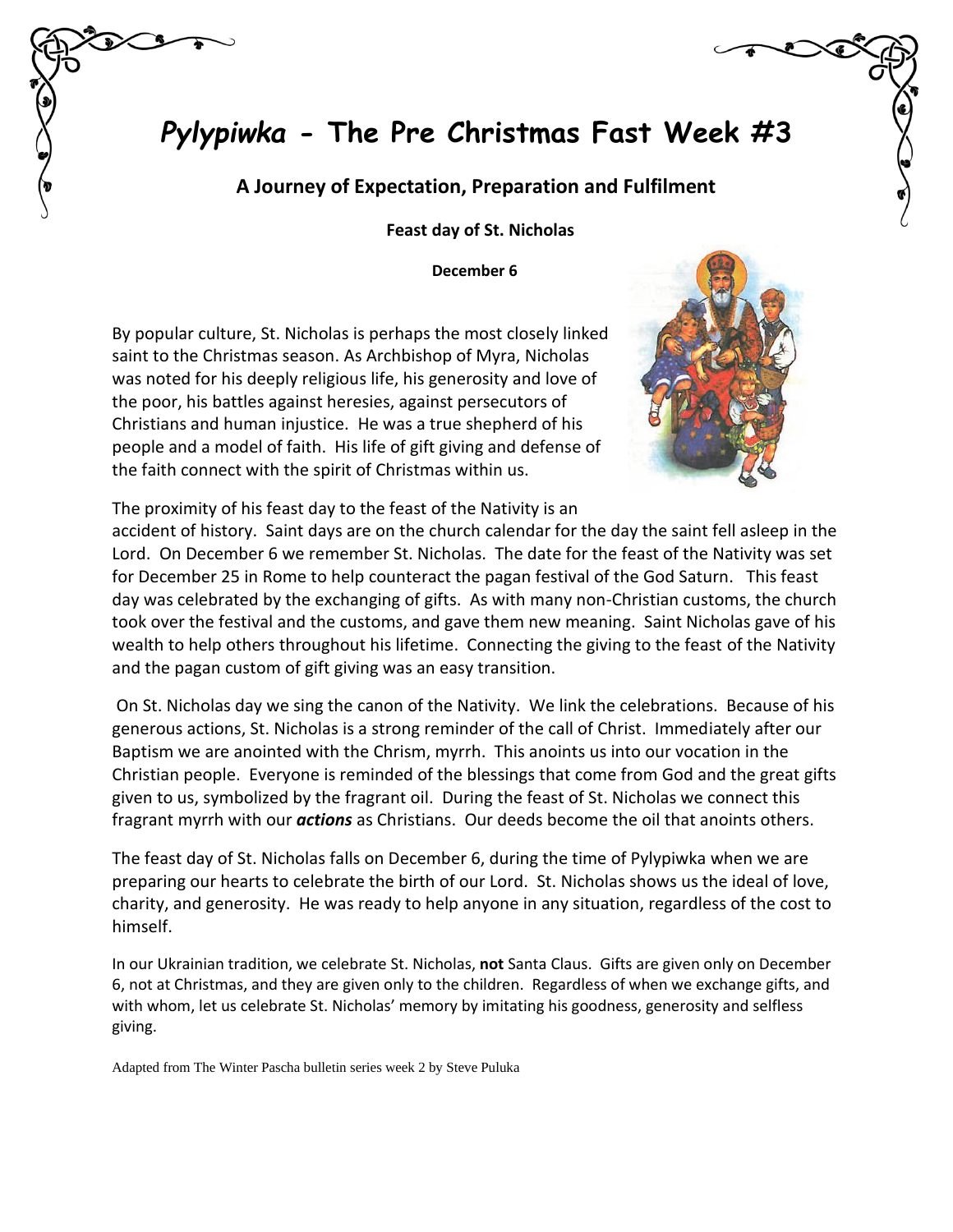# *Pylypiwka* **- The Pre Christmas Fast Week #3**

#### **A Journey of Expectation, Preparation and Fulfilment**

 **Feast day of St. Nicholas**

 **December 6**

By popular culture, St. Nicholas is perhaps the most closely linked saint to the Christmas season. As Archbishop of Myra, Nicholas was noted for his deeply religious life, his generosity and love of the poor, his battles against heresies, against persecutors of Christians and human injustice. He was a true shepherd of his people and a model of faith. His life of gift giving and defense of the faith connect with the spirit of Christmas within us.



The proximity of his feast day to the feast of the Nativity is an

accident of history. Saint days are on the church calendar for the day the saint fell asleep in the Lord. On December 6 we remember St. Nicholas. The date for the feast of the Nativity was set for December 25 in Rome to help counteract the pagan festival of the God Saturn. This feast day was celebrated by the exchanging of gifts. As with many non-Christian customs, the church took over the festival and the customs, and gave them new meaning. Saint Nicholas gave of his wealth to help others throughout his lifetime. Connecting the giving to the feast of the Nativity and the pagan custom of gift giving was an easy transition.

On St. Nicholas day we sing the canon of the Nativity. We link the celebrations. Because of his generous actions, St. Nicholas is a strong reminder of the call of Christ. Immediately after our Baptism we are anointed with the Chrism, myrrh. This anoints us into our vocation in the Christian people. Everyone is reminded of the blessings that come from God and the great gifts given to us, symbolized by the fragrant oil. During the feast of St. Nicholas we connect this fragrant myrrh with our *actions* as Christians. Our deeds become the oil that anoints others.

The feast day of St. Nicholas falls on December 6, during the time of Pylypiwka when we are preparing our hearts to celebrate the birth of our Lord. St. Nicholas shows us the ideal of love, charity, and generosity. He was ready to help anyone in any situation, regardless of the cost to himself.

In our Ukrainian tradition, we celebrate St. Nicholas, **not** Santa Claus. Gifts are given only on December 6, not at Christmas, and they are given only to the children. Regardless of when we exchange gifts, and with whom, let us celebrate St. Nicholas' memory by imitating his goodness, generosity and selfless giving.

Adapted from The Winter Pascha bulletin series week 2 by Steve Puluka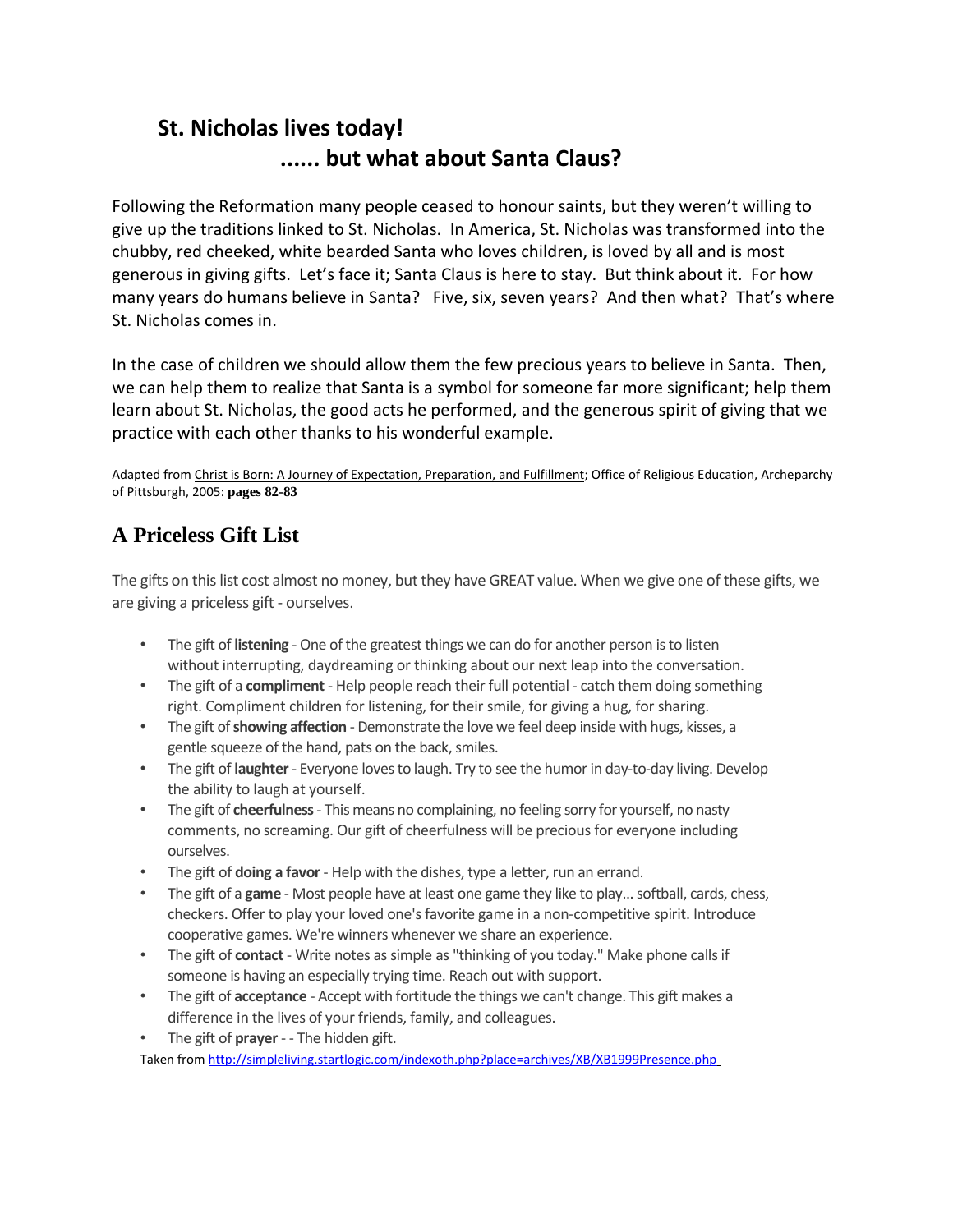## **St. Nicholas lives today! ...... but what about Santa Claus?**

Following the Reformation many people ceased to honour saints, but they weren't willing to give up the traditions linked to St. Nicholas. In America, St. Nicholas was transformed into the chubby, red cheeked, white bearded Santa who loves children, is loved by all and is most generous in giving gifts. Let's face it; Santa Claus is here to stay. But think about it. For how many years do humans believe in Santa? Five, six, seven years? And then what? That's where St. Nicholas comes in.

In the case of children we should allow them the few precious years to believe in Santa. Then, we can help them to realize that Santa is a symbol for someone far more significant; help them learn about St. Nicholas, the good acts he performed, and the generous spirit of giving that we practice with each other thanks to his wonderful example.

Adapted from Christ is Born: A Journey of Expectation, Preparation, and Fulfillment; Office of Religious Education, Archeparchy of Pittsburgh, 2005: **pages 82-83**

### **A Priceless Gift List**

The gifts on this list cost almost no money, but they have GREAT value. When we give one of these gifts, we are giving a priceless gift - ourselves.

- The gift of **listening**  One of the greatest things we can do for another person is to listen without interrupting, daydreaming or thinking about our next leap into the conversation.
- The gift of a **compliment**  Help people reach their full potential catch them doing something right. Compliment children for listening, for their smile, for giving a hug, for sharing.
- The gift of **showing affection**  Demonstrate the love we feel deep inside with hugs, kisses, a gentle squeeze of the hand, pats on the back, smiles.
- The gift of **laughter**  Everyone loves to laugh. Try to see the humor in day-to-day living. Develop the ability to laugh at yourself.
- The gift of **cheerfulness**  This means no complaining, no feeling sorry for yourself, no nasty comments, no screaming. Our gift of cheerfulness will be precious for everyone including ourselves.
- The gift of **doing a favor**  Help with the dishes, type a letter, run an errand.
- The gift of a **game**  Most people have at least one game they like to play... softball, cards, chess, checkers. Offer to play your loved one's favorite game in a non-competitive spirit. Introduce cooperative games. We're winners whenever we share an experience.
- The gift of **contact**  Write notes as simple as "thinking of you today." Make phone calls if someone is having an especially trying time. Reach out with support.
- The gift of **acceptance**  Accept with fortitude the things we can't change. This gift makes a difference in the lives of your friends, family, and colleagues.
- The gift of **prayer**  - The hidden gift.

Taken from<http://simpleliving.startlogic.com/indexoth.php?place=archives/XB/XB1999Presence.php>